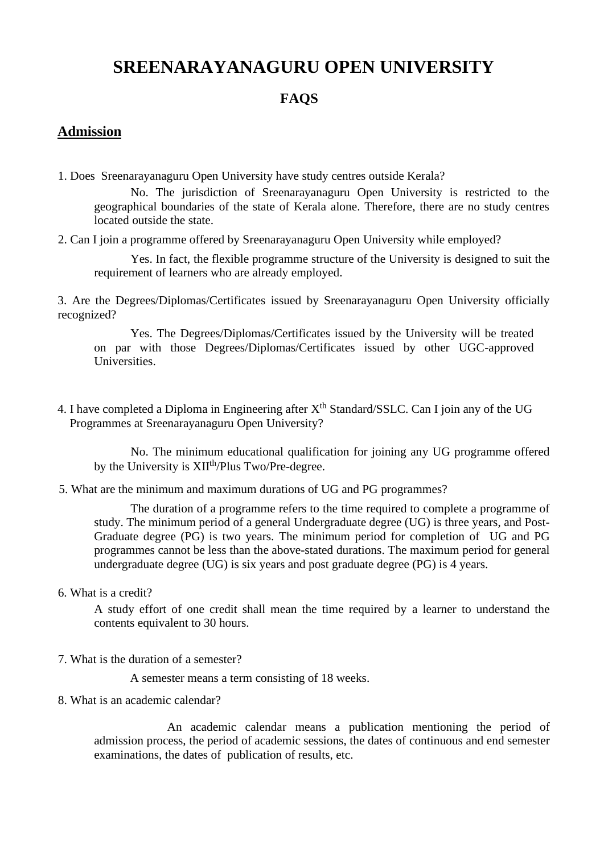## **SREENARAYANAGURU OPEN UNIVERSITY**

## **FAQS**

## **Admission**

1. Does Sreenarayanaguru Open University have study centres outside Kerala?

No. The jurisdiction of Sreenarayanaguru Open University is restricted to the geographical boundaries of the state of Kerala alone. Therefore, there are no study centres located outside the state.

2. Can I join a programme offered by Sreenarayanaguru Open University while employed?

Yes. In fact, the flexible programme structure of the University is designed to suit the requirement of learners who are already employed.

3. Are the Degrees/Diplomas/Certificates issued by Sreenarayanaguru Open University officially recognized?

Yes. The Degrees/Diplomas/Certificates issued by the University will be treated on par with those Degrees/Diplomas/Certificates issued by other UGC-approved Universities.

4. I have completed a Diploma in Engineering after  $X<sup>th</sup>$  Standard/SSLC. Can I join any of the UG Programmes at Sreenarayanaguru Open University?

No. The minimum educational qualification for joining any UG programme offered by the University is XII<sup>th</sup>/Plus Two/Pre-degree.

5. What are the minimum and maximum durations of UG and PG programmes?

The duration of a programme refers to the time required to complete a programme of study. The minimum period of a general Undergraduate degree (UG) is three years, and Post-Graduate degree (PG) is two years. The minimum period for completion of UG and PG programmes cannot be less than the above-stated durations. The maximum period for general undergraduate degree (UG) is six years and post graduate degree (PG) is 4 years.

6. What is a credit?

A study effort of one credit shall mean the time required by a learner to understand the contents equivalent to 30 hours.

7. What is the duration of a semester?

A semester means a term consisting of 18 weeks.

8. What is an academic calendar?

An academic calendar means a publication mentioning the period of admission process, the period of academic sessions, the dates of continuous and end semester examinations, the dates of publication of results, etc.